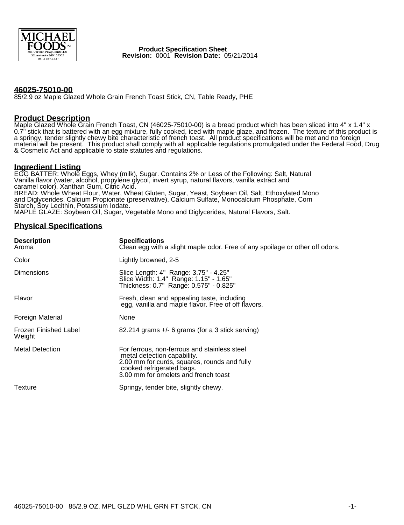

 **Product Specification Sheet Revision:** 0001 **Revision Date:** 05/21/2014

### **46025-75010-00**

85/2.9 oz Maple Glazed Whole Grain French Toast Stick, CN, Table Ready, PHE

#### **Product Description**

Maple Glazed Whole Grain French Toast, CN (46025-75010-00) is a bread product which has been sliced into 4" x 1.4" x 0.7" stick that is battered with an egg mixture, fully cooked, iced with maple glaze, and frozen. The texture of this product is a springy, tender slightly chewy bite characteristic of french toast. All product specifications will be met and no foreign material will be present. This product shall comply with all applicable regulations promulgated under the Federal Food, Drug & Cosmetic Act and applicable to state statutes and regulations.

### **Ingredient Listing**

EGG BATTER: Whole Eggs, Whey (milk), Sugar. Contains 2% or Less of the Following: Salt, Natural Vanilla flavor (water, alcohol, propylene glycol, invert syrup, natural flavors, vanilla extract and caramel color), Xanthan Gum, Citric Acid. BREAD: Whole Wheat Flour, Water, Wheat Gluten, Sugar, Yeast, Soybean Oil, Salt, Ethoxylated Mono and Diglycerides, Calcium Propionate (preservative), Calcium Sulfate, Monocalcium Phosphate, Corn Starch, Soy Lecithin, Potassium Iodate. MAPLE GLAZE: Soybean Oil, Sugar, Vegetable Mono and Diglycerides, Natural Flavors, Salt.

#### **Physical Specifications**

| <b>Description</b><br>Aroma     | <b>Specifications</b><br>Clean egg with a slight maple odor. Free of any spoilage or other off odors.                                                                                            |  |
|---------------------------------|--------------------------------------------------------------------------------------------------------------------------------------------------------------------------------------------------|--|
| Color                           | Lightly browned, 2-5                                                                                                                                                                             |  |
| <b>Dimensions</b>               | Slice Length: 4" Range: 3.75" - 4.25"<br>Slice Width: 1.4" Range: 1.15" - 1.65"<br>Thickness: 0.7" Range: 0.575" - 0.825"                                                                        |  |
| Flavor                          | Fresh, clean and appealing taste, including<br>egg, vanilla and maple flavor. Free of off flavors.                                                                                               |  |
| Foreign Material                | <b>None</b>                                                                                                                                                                                      |  |
| Frozen Finished Label<br>Weight | $82.214$ grams $+/-$ 6 grams (for a 3 stick serving)                                                                                                                                             |  |
| <b>Metal Detection</b>          | For ferrous, non-ferrous and stainless steel<br>metal detection capability.<br>2.00 mm for curds, squares, rounds and fully<br>cooked refrigerated bags.<br>3.00 mm for omelets and french toast |  |
| Texture                         | Springy, tender bite, slightly chewy.                                                                                                                                                            |  |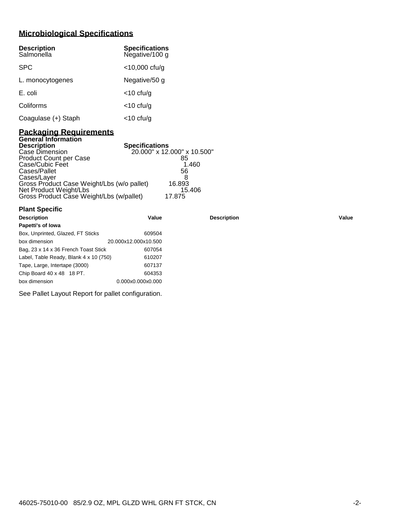# **Microbiological Specifications**

| <b>Description</b><br>Salmonella | <b>Specifications</b><br>Negative/100 g |
|----------------------------------|-----------------------------------------|
| <b>SPC</b>                       | $<$ 10,000 cfu/g                        |
| L. monocytogenes                 | Negative/50 g                           |
| E. coli                          | $<$ 10 cfu/g                            |
| Coliforms                        | $<$ 10 cfu/g                            |
| Coagulase (+) Staph              | $<$ 10 cfu/g                            |

## **Packaging Requirements General Information**

| <b>Description</b>                         | <b>Specifications</b>       |
|--------------------------------------------|-----------------------------|
| Case Dimension                             | 20.000" x 12.000" x 10.500" |
| <b>Product Count per Case</b>              | 85                          |
| Case/Cubic Feet                            | 1.460                       |
| Cases/Pallet                               | 56                          |
| Cases/Layer                                |                             |
| Gross Product Case Weight/Lbs (w/o pallet) | 16.893                      |
| Net Product Weight/Lbs                     | 15.406                      |
| Gross Product Case Weight/Lbs (w/pallet)   | 17.875                      |

| <b>Plant Specific</b>                  |                      |                    |       |
|----------------------------------------|----------------------|--------------------|-------|
| <b>Description</b>                     | Value                | <b>Description</b> | Value |
| Papetti's of Iowa                      |                      |                    |       |
| Box, Unprinted, Glazed, FT Sticks      | 609504               |                    |       |
| box dimension                          | 20.000x12.000x10.500 |                    |       |
| Bag, 23 x 14 x 36 French Toast Stick   | 607054               |                    |       |
| Label, Table Ready, Blank 4 x 10 (750) | 610207               |                    |       |
| Tape, Large, Intertape (3000)          | 607137               |                    |       |
| Chip Board 40 x 48 18 PT.              | 604353               |                    |       |
| box dimension                          | 0.000x0.000x0.000    |                    |       |

See Pallet Layout Report for pallet configuration.